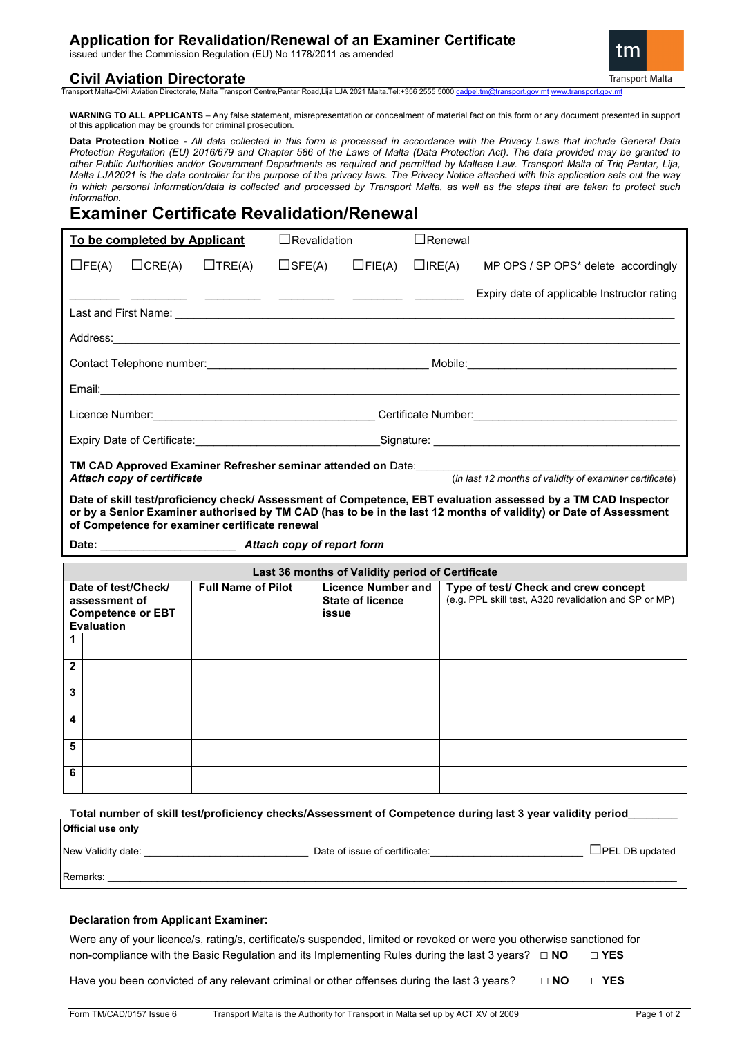## **Application for Revalidation/Renewal of an Examiner Certificate**

issued under the Commission Regulation (EU) No 1178/2011 as amended

### **Civil Aviation Directorate**

**Transport Malta** 

Transport Malta-Civil Aviation Directorate, Malta Transport Centre,Pantar Road,Lija LJA 2021 Malta.Tel:+356 2555 5000 ca

**WARNING TO ALL APPLICANTS** – Any false statement, misrepresentation or concealment of material fact on this form or any document presented in support of this application may be grounds for criminal prosecution.

**Data Protection Notice -** *All data collected in this form is processed in accordance with the Privacy Laws that include General Data Protection Regulation (EU) 2016/679 and Chapter 586 of the Laws of Malta (Data Protection Act). The data provided may be granted to other Public Authorities and/or Government Departments as required and permitted by Maltese Law. Transport Malta of Triq Pantar, Lija, Malta LJA2021 is the data controller for the purpose of the privacy laws. The Privacy Notice attached with this application sets out the way in which personal information/data is collected and processed by Transport Malta, as well as the steps that are taken to protect such information.*

# **Examiner Certificate Revalidation/Renewal**

| To be completed by Applicant                                           |               |                                                                                                                       | $\Box$ Revalidation |               | $\sqcup$ Renewal |                                             |  |  |
|------------------------------------------------------------------------|---------------|-----------------------------------------------------------------------------------------------------------------------|---------------------|---------------|------------------|---------------------------------------------|--|--|
| $\Box$ FE(A)                                                           | $\Box$ CRE(A) | $\Box$ TRE(A)                                                                                                         | $\square$ SFE(A)    | $\Box$ FIE(A) | $\Box$ IRE(A)    | MP OPS / SP OPS* delete accordingly         |  |  |
|                                                                        |               | <u> 1990 - Antonio Alemania, presidente de la contrada de la contrada de la contrada de la contrada de la contrad</u> |                     |               |                  | Expiry date of applicable Instructor rating |  |  |
|                                                                        |               |                                                                                                                       |                     |               |                  |                                             |  |  |
|                                                                        |               |                                                                                                                       |                     |               |                  | Mobile:_____________________________        |  |  |
|                                                                        |               |                                                                                                                       |                     |               |                  |                                             |  |  |
|                                                                        |               |                                                                                                                       |                     |               |                  | Certificate Number: Certificate Number:     |  |  |
| Expiry Date of Certificate: the contract of the contract of Signature: |               |                                                                                                                       |                     |               |                  |                                             |  |  |
| TM CAD Annroved Examiner Refresher seminar attended on Date            |               |                                                                                                                       |                     |               |                  |                                             |  |  |

**TM CAD Approved Examiner Refresher seminar attended on** Date:\_\_\_\_\_\_\_\_\_\_\_\_\_\_\_\_\_\_\_\_\_\_\_\_\_\_\_\_\_\_\_\_\_\_\_\_\_\_\_\_\_\_\_\_\_\_\_\_ *Attach copy of certificate* (*in last 12 months of validity of examiner certificate*)

**Date of skill test/proficiency check/ Assessment of Competence, EBT evaluation assessed by a TM CAD Inspector or by a Senior Examiner authorised by TM CAD (has to be in the last 12 months of validity) or Date of Assessment of Competence for examiner certificate renewal** 

**Date:** \_\_\_\_\_\_\_\_\_\_\_\_\_\_\_\_\_\_\_\_\_\_ *Attach copy of report form*

| Last 36 months of Validity period of Certificate                                      |  |                           |                                                               |                                                                                               |  |  |  |  |
|---------------------------------------------------------------------------------------|--|---------------------------|---------------------------------------------------------------|-----------------------------------------------------------------------------------------------|--|--|--|--|
| Date of test/Check/<br>assessment of<br><b>Competence or EBT</b><br><b>Evaluation</b> |  | <b>Full Name of Pilot</b> | <b>Licence Number and</b><br><b>State of licence</b><br>issue | Type of test/ Check and crew concept<br>(e.g. PPL skill test, A320 revalidation and SP or MP) |  |  |  |  |
|                                                                                       |  |                           |                                                               |                                                                                               |  |  |  |  |
| $\mathbf{2}$                                                                          |  |                           |                                                               |                                                                                               |  |  |  |  |
| 3                                                                                     |  |                           |                                                               |                                                                                               |  |  |  |  |
| 4                                                                                     |  |                           |                                                               |                                                                                               |  |  |  |  |
| 5                                                                                     |  |                           |                                                               |                                                                                               |  |  |  |  |
| 6                                                                                     |  |                           |                                                               |                                                                                               |  |  |  |  |

| Official use only                                                                                                                                                                                                              | Total number of skill test/proficiency checks/Assessment of Competence during last 3 year validity period                                                                                                                      |                       |
|--------------------------------------------------------------------------------------------------------------------------------------------------------------------------------------------------------------------------------|--------------------------------------------------------------------------------------------------------------------------------------------------------------------------------------------------------------------------------|-----------------------|
| New Validity date: New Yalidity of the control of the control of the control of the control of the control of the control of the control of the control of the control of the control of the control of the control of the con | Date of issue of certificate: Date of the state of the state of the state of the state of the state of the state of the state of the state of the state of the state of the state of the state of the state of the state of th | $\Box$ PEL DB updated |
| Remarks:                                                                                                                                                                                                                       |                                                                                                                                                                                                                                |                       |
| <b>Declaration from Applicant Examiner:</b>                                                                                                                                                                                    |                                                                                                                                                                                                                                |                       |

Were any of your licence/s, rating/s, certificate/s suspended, limited or revoked or were you otherwise sanctioned for non-compliance with the Basic Regulation and its Implementing Rules during the last 3 years? **□ NO □ YES** 

Have you been convicted of any relevant criminal or other offenses during the last 3 years? **□ NO □ YES**